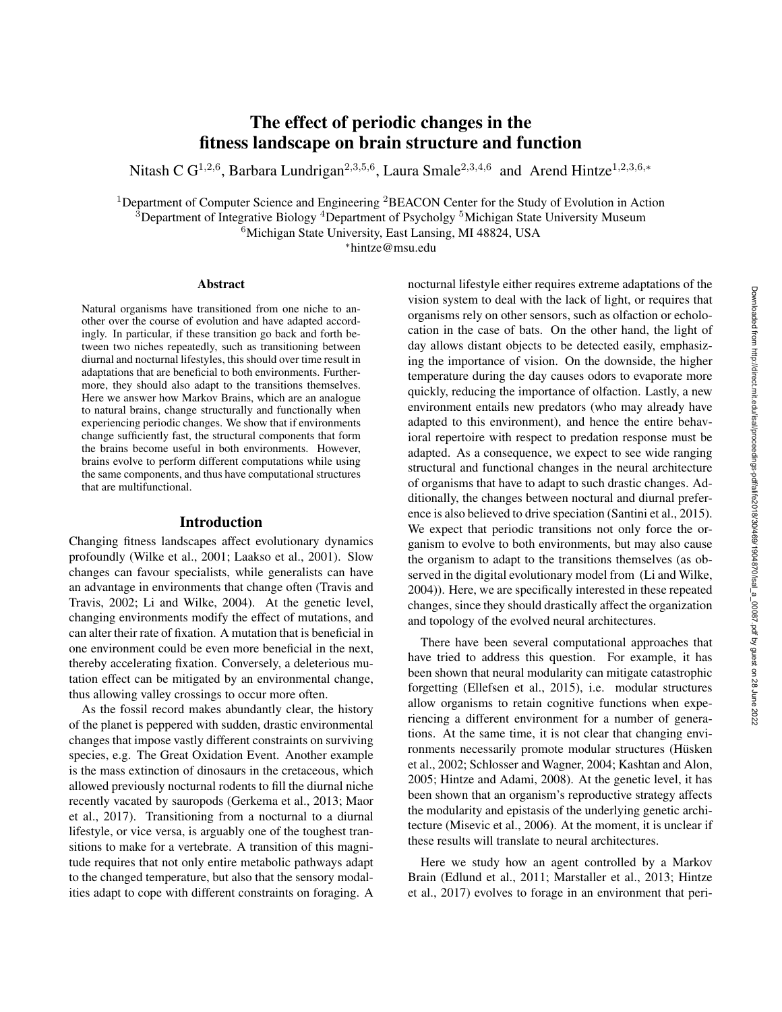# The effect of periodic changes in the fitness landscape on brain structure and function

Nitash C  $G^{1,2,6}$ , Barbara Lundrigan<sup>2,3,5,6</sup>, Laura Smale<sup>2,3,4,6</sup> and Arend Hintze<sup>1,2,3,6,\*</sup>

<sup>1</sup>Department of Computer Science and Engineering <sup>2</sup>BEACON Center for the Study of Evolution in Action <sup>3</sup>Department of Integrative Biology <sup>4</sup>Department of Psycholgy <sup>5</sup>Michigan State University Museum <sup>6</sup>Michigan State University, East Lansing, MI 48824, USA

<sup>∗</sup>hintze@msu.edu

#### Abstract

Natural organisms have transitioned from one niche to another over the course of evolution and have adapted accordingly. In particular, if these transition go back and forth between two niches repeatedly, such as transitioning between diurnal and nocturnal lifestyles, this should over time result in adaptations that are beneficial to both environments. Furthermore, they should also adapt to the transitions themselves. Here we answer how Markov Brains, which are an analogue to natural brains, change structurally and functionally when experiencing periodic changes. We show that if environments change sufficiently fast, the structural components that form the brains become useful in both environments. However, brains evolve to perform different computations while using the same components, and thus have computational structures that are multifunctional.

#### Introduction

Changing fitness landscapes affect evolutionary dynamics profoundly (Wilke et al., 2001; Laakso et al., 2001). Slow changes can favour specialists, while generalists can have an advantage in environments that change often (Travis and Travis, 2002; Li and Wilke, 2004). At the genetic level, changing environments modify the effect of mutations, and can alter their rate of fixation. A mutation that is beneficial in one environment could be even more beneficial in the next, thereby accelerating fixation. Conversely, a deleterious mutation effect can be mitigated by an environmental change, thus allowing valley crossings to occur more often.

As the fossil record makes abundantly clear, the history of the planet is peppered with sudden, drastic environmental changes that impose vastly different constraints on surviving species, e.g. The Great Oxidation Event. Another example is the mass extinction of dinosaurs in the cretaceous, which allowed previously nocturnal rodents to fill the diurnal niche recently vacated by sauropods (Gerkema et al., 2013; Maor et al., 2017). Transitioning from a nocturnal to a diurnal lifestyle, or vice versa, is arguably one of the toughest transitions to make for a vertebrate. A transition of this magnitude requires that not only entire metabolic pathways adapt to the changed temperature, but also that the sensory modalities adapt to cope with different constraints on foraging. A

nocturnal lifestyle either requires extreme adaptations of the vision system to deal with the lack of light, or requires that organisms rely on other sensors, such as olfaction or echolocation in the case of bats. On the other hand, the light of day allows distant objects to be detected easily, emphasizing the importance of vision. On the downside, the higher temperature during the day causes odors to evaporate more quickly, reducing the importance of olfaction. Lastly, a new environment entails new predators (who may already have adapted to this environment), and hence the entire behavioral repertoire with respect to predation response must be adapted. As a consequence, we expect to see wide ranging structural and functional changes in the neural architecture of organisms that have to adapt to such drastic changes. Additionally, the changes between noctural and diurnal preference is also believed to drive speciation (Santini et al., 2015). We expect that periodic transitions not only force the organism to evolve to both environments, but may also cause the organism to adapt to the transitions themselves (as observed in the digital evolutionary model from (Li and Wilke, 2004)). Here, we are specifically interested in these repeated changes, since they should drastically affect the organization and topology of the evolved neural architectures.

There have been several computational approaches that have tried to address this question. For example, it has been shown that neural modularity can mitigate catastrophic forgetting (Ellefsen et al., 2015), i.e. modular structures allow organisms to retain cognitive functions when experiencing a different environment for a number of generations. At the same time, it is not clear that changing environments necessarily promote modular structures (Hüsken et al., 2002; Schlosser and Wagner, 2004; Kashtan and Alon, 2005; Hintze and Adami, 2008). At the genetic level, it has been shown that an organism's reproductive strategy affects the modularity and epistasis of the underlying genetic architecture (Misevic et al., 2006). At the moment, it is unclear if these results will translate to neural architectures.

Here we study how an agent controlled by a Markov Brain (Edlund et al., 2011; Marstaller et al., 2013; Hintze et al., 2017) evolves to forage in an environment that peri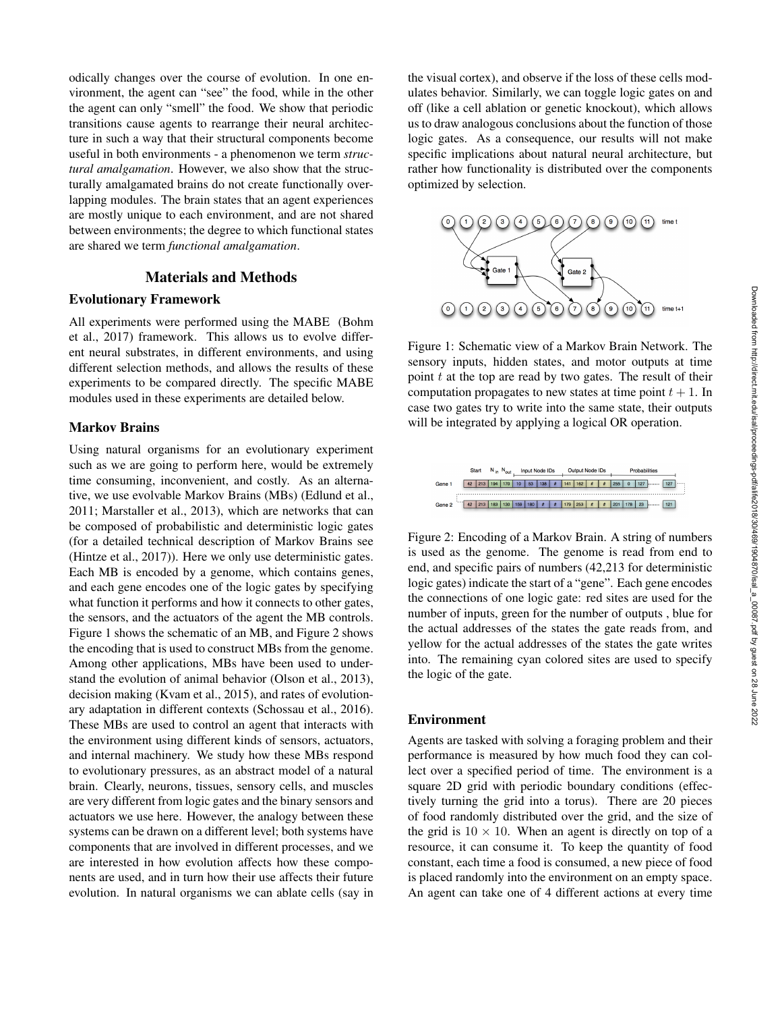odically changes over the course of evolution. In one environment, the agent can "see" the food, while in the other the agent can only "smell" the food. We show that periodic transitions cause agents to rearrange their neural architecture in such a way that their structural components become useful in both environments - a phenomenon we term *structural amalgamation*. However, we also show that the structurally amalgamated brains do not create functionally overlapping modules. The brain states that an agent experiences are mostly unique to each environment, and are not shared between environments; the degree to which functional states are shared we term *functional amalgamation*.

## Materials and Methods

#### Evolutionary Framework

All experiments were performed using the MABE (Bohm et al., 2017) framework. This allows us to evolve different neural substrates, in different environments, and using different selection methods, and allows the results of these experiments to be compared directly. The specific MABE modules used in these experiments are detailed below.

## Markov Brains

Using natural organisms for an evolutionary experiment such as we are going to perform here, would be extremely time consuming, inconvenient, and costly. As an alternative, we use evolvable Markov Brains (MBs) (Edlund et al., 2011; Marstaller et al., 2013), which are networks that can be composed of probabilistic and deterministic logic gates (for a detailed technical description of Markov Brains see (Hintze et al., 2017)). Here we only use deterministic gates. Each MB is encoded by a genome, which contains genes, and each gene encodes one of the logic gates by specifying what function it performs and how it connects to other gates, the sensors, and the actuators of the agent the MB controls. Figure 1 shows the schematic of an MB, and Figure 2 shows the encoding that is used to construct MBs from the genome. Among other applications, MBs have been used to understand the evolution of animal behavior (Olson et al., 2013), decision making (Kvam et al., 2015), and rates of evolutionary adaptation in different contexts (Schossau et al., 2016). These MBs are used to control an agent that interacts with the environment using different kinds of sensors, actuators, and internal machinery. We study how these MBs respond to evolutionary pressures, as an abstract model of a natural brain. Clearly, neurons, tissues, sensory cells, and muscles are very different from logic gates and the binary sensors and actuators we use here. However, the analogy between these systems can be drawn on a different level; both systems have components that are involved in different processes, and we are interested in how evolution affects how these components are used, and in turn how their use affects their future evolution. In natural organisms we can ablate cells (say in

the visual cortex), and observe if the loss of these cells modulates behavior. Similarly, we can toggle logic gates on and off (like a cell ablation or genetic knockout), which allows us to draw analogous conclusions about the function of those logic gates. As a consequence, our results will not make specific implications about natural neural architecture, but rather how functionality is distributed over the components optimized by selection.



Figure 1: Schematic view of a Markov Brain Network. The sensory inputs, hidden states, and motor outputs at time point  $t$  at the top are read by two gates. The result of their computation propagates to new states at time point  $t + 1$ . In case two gates try to write into the same state, their outputs will be integrated by applying a logical OR operation.



Figure 2: Encoding of a Markov Brain. A string of numbers is used as the genome. The genome is read from end to end, and specific pairs of numbers (42,213 for deterministic logic gates) indicate the start of a "gene". Each gene encodes the connections of one logic gate: red sites are used for the number of inputs, green for the number of outputs , blue for the actual addresses of the states the gate reads from, and yellow for the actual addresses of the states the gate writes into. The remaining cyan colored sites are used to specify the logic of the gate.

#### Environment

Agents are tasked with solving a foraging problem and their performance is measured by how much food they can collect over a specified period of time. The environment is a square 2D grid with periodic boundary conditions (effectively turning the grid into a torus). There are 20 pieces of food randomly distributed over the grid, and the size of the grid is  $10 \times 10$ . When an agent is directly on top of a resource, it can consume it. To keep the quantity of food constant, each time a food is consumed, a new piece of food is placed randomly into the environment on an empty space. An agent can take one of 4 different actions at every time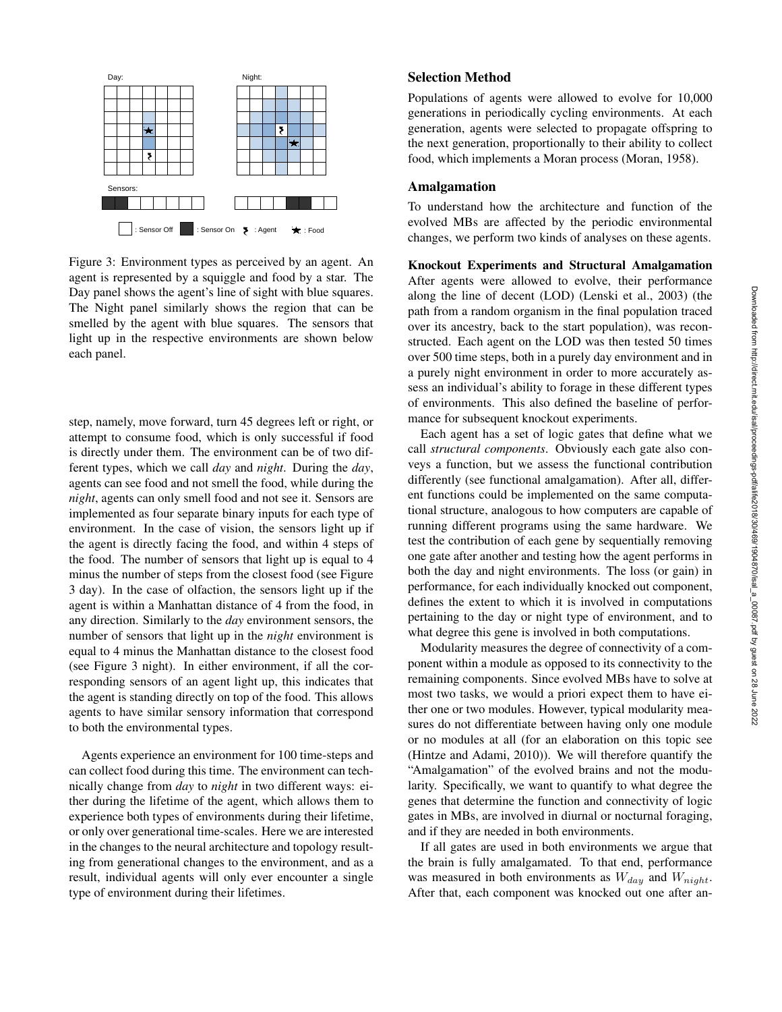

Figure 3: Environment types as perceived by an agent. An agent is represented by a squiggle and food by a star. The Day panel shows the agent's line of sight with blue squares. The Night panel similarly shows the region that can be smelled by the agent with blue squares. The sensors that light up in the respective environments are shown below each panel.

step, namely, move forward, turn 45 degrees left or right, or attempt to consume food, which is only successful if food is directly under them. The environment can be of two different types, which we call *day* and *night*. During the *day*, agents can see food and not smell the food, while during the *night*, agents can only smell food and not see it. Sensors are implemented as four separate binary inputs for each type of environment. In the case of vision, the sensors light up if the agent is directly facing the food, and within 4 steps of the food. The number of sensors that light up is equal to 4 minus the number of steps from the closest food (see Figure 3 day). In the case of olfaction, the sensors light up if the agent is within a Manhattan distance of 4 from the food, in any direction. Similarly to the *day* environment sensors, the number of sensors that light up in the *night* environment is equal to 4 minus the Manhattan distance to the closest food (see Figure 3 night). In either environment, if all the corresponding sensors of an agent light up, this indicates that the agent is standing directly on top of the food. This allows agents to have similar sensory information that correspond to both the environmental types.

Agents experience an environment for 100 time-steps and can collect food during this time. The environment can technically change from *day* to *night* in two different ways: either during the lifetime of the agent, which allows them to experience both types of environments during their lifetime, or only over generational time-scales. Here we are interested in the changes to the neural architecture and topology resulting from generational changes to the environment, and as a result, individual agents will only ever encounter a single type of environment during their lifetimes.

## Selection Method

Populations of agents were allowed to evolve for 10,000 generations in periodically cycling environments. At each generation, agents were selected to propagate offspring to the next generation, proportionally to their ability to collect food, which implements a Moran process (Moran, 1958).

### Amalgamation

To understand how the architecture and function of the evolved MBs are affected by the periodic environmental changes, we perform two kinds of analyses on these agents.

#### Knockout Experiments and Structural Amalgamation

After agents were allowed to evolve, their performance along the line of decent (LOD) (Lenski et al., 2003) (the path from a random organism in the final population traced over its ancestry, back to the start population), was reconstructed. Each agent on the LOD was then tested 50 times over 500 time steps, both in a purely day environment and in a purely night environment in order to more accurately assess an individual's ability to forage in these different types of environments. This also defined the baseline of performance for subsequent knockout experiments.

Each agent has a set of logic gates that define what we call *structural components*. Obviously each gate also conveys a function, but we assess the functional contribution differently (see functional amalgamation). After all, different functions could be implemented on the same computational structure, analogous to how computers are capable of running different programs using the same hardware. We test the contribution of each gene by sequentially removing one gate after another and testing how the agent performs in both the day and night environments. The loss (or gain) in performance, for each individually knocked out component, defines the extent to which it is involved in computations pertaining to the day or night type of environment, and to what degree this gene is involved in both computations.

Modularity measures the degree of connectivity of a component within a module as opposed to its connectivity to the remaining components. Since evolved MBs have to solve at most two tasks, we would a priori expect them to have either one or two modules. However, typical modularity measures do not differentiate between having only one module or no modules at all (for an elaboration on this topic see (Hintze and Adami, 2010)). We will therefore quantify the "Amalgamation" of the evolved brains and not the modularity. Specifically, we want to quantify to what degree the genes that determine the function and connectivity of logic gates in MBs, are involved in diurnal or nocturnal foraging, and if they are needed in both environments.

If all gates are used in both environments we argue that the brain is fully amalgamated. To that end, performance was measured in both environments as  $W_{day}$  and  $W_{night}$ . After that, each component was knocked out one after an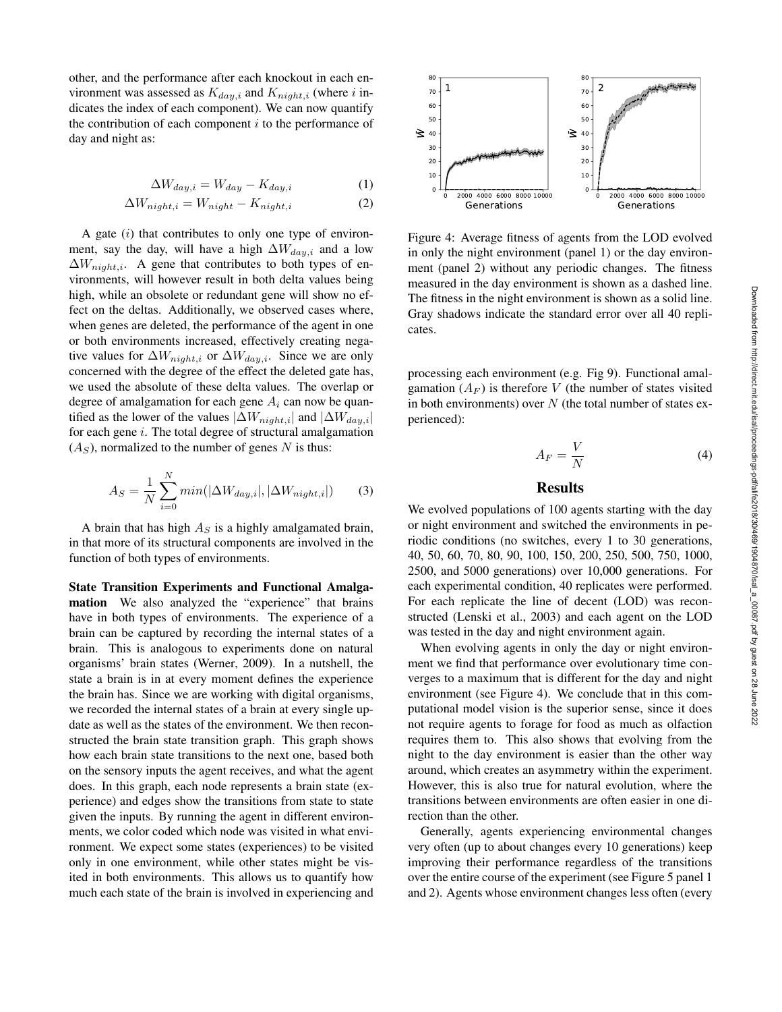other, and the performance after each knockout in each environment was assessed as  $K_{dau,i}$  and  $K_{night,i}$  (where i indicates the index of each component). We can now quantify the contribution of each component  $i$  to the performance of day and night as:

$$
\Delta W_{day,i} = W_{day} - K_{day,i} \tag{1}
$$

$$
\Delta W_{night,i} = W_{night} - K_{night,i} \tag{2}
$$

A gate  $(i)$  that contributes to only one type of environment, say the day, will have a high  $\Delta W_{day,i}$  and a low  $\Delta W_{night,i}$ . A gene that contributes to both types of environments, will however result in both delta values being high, while an obsolete or redundant gene will show no effect on the deltas. Additionally, we observed cases where, when genes are deleted, the performance of the agent in one or both environments increased, effectively creating negative values for  $\Delta W_{night,i}$  or  $\Delta W_{day,i}$ . Since we are only concerned with the degree of the effect the deleted gate has, we used the absolute of these delta values. The overlap or degree of amalgamation for each gene  $A_i$  can now be quantified as the lower of the values  $|\Delta W_{night,i}|$  and  $|\Delta W_{day,i}|$ for each gene i. The total degree of structural amalgamation  $(A<sub>S</sub>)$ , normalized to the number of genes N is thus:

$$
A_S = \frac{1}{N} \sum_{i=0}^{N} min(|\Delta W_{day,i}|, |\Delta W_{night,i}|)
$$
 (3)

A brain that has high  $A<sub>S</sub>$  is a highly amalgamated brain, in that more of its structural components are involved in the function of both types of environments.

State Transition Experiments and Functional Amalgamation We also analyzed the "experience" that brains have in both types of environments. The experience of a brain can be captured by recording the internal states of a brain. This is analogous to experiments done on natural organisms' brain states (Werner, 2009). In a nutshell, the state a brain is in at every moment defines the experience the brain has. Since we are working with digital organisms, we recorded the internal states of a brain at every single update as well as the states of the environment. We then reconstructed the brain state transition graph. This graph shows how each brain state transitions to the next one, based both on the sensory inputs the agent receives, and what the agent does. In this graph, each node represents a brain state (experience) and edges show the transitions from state to state given the inputs. By running the agent in different environments, we color coded which node was visited in what environment. We expect some states (experiences) to be visited only in one environment, while other states might be visited in both environments. This allows us to quantify how much each state of the brain is involved in experiencing and



Figure 4: Average fitness of agents from the LOD evolved in only the night environment (panel 1) or the day environment (panel 2) without any periodic changes. The fitness measured in the day environment is shown as a dashed line. The fitness in the night environment is shown as a solid line. Gray shadows indicate the standard error over all 40 replicates.

processing each environment (e.g. Fig 9). Functional amalgamation  $(A_F)$  is therefore V (the number of states visited in both environments) over  $N$  (the total number of states experienced):

$$
A_F = \frac{V}{N} \tag{4}
$$

## **Results**

We evolved populations of 100 agents starting with the day or night environment and switched the environments in periodic conditions (no switches, every 1 to 30 generations, 40, 50, 60, 70, 80, 90, 100, 150, 200, 250, 500, 750, 1000, 2500, and 5000 generations) over 10,000 generations. For each experimental condition, 40 replicates were performed. For each replicate the line of decent (LOD) was reconstructed (Lenski et al., 2003) and each agent on the LOD was tested in the day and night environment again.

When evolving agents in only the day or night environment we find that performance over evolutionary time converges to a maximum that is different for the day and night environment (see Figure 4). We conclude that in this computational model vision is the superior sense, since it does not require agents to forage for food as much as olfaction requires them to. This also shows that evolving from the night to the day environment is easier than the other way around, which creates an asymmetry within the experiment. However, this is also true for natural evolution, where the transitions between environments are often easier in one direction than the other.

Generally, agents experiencing environmental changes very often (up to about changes every 10 generations) keep improving their performance regardless of the transitions over the entire course of the experiment (see Figure 5 panel 1 and 2). Agents whose environment changes less often (every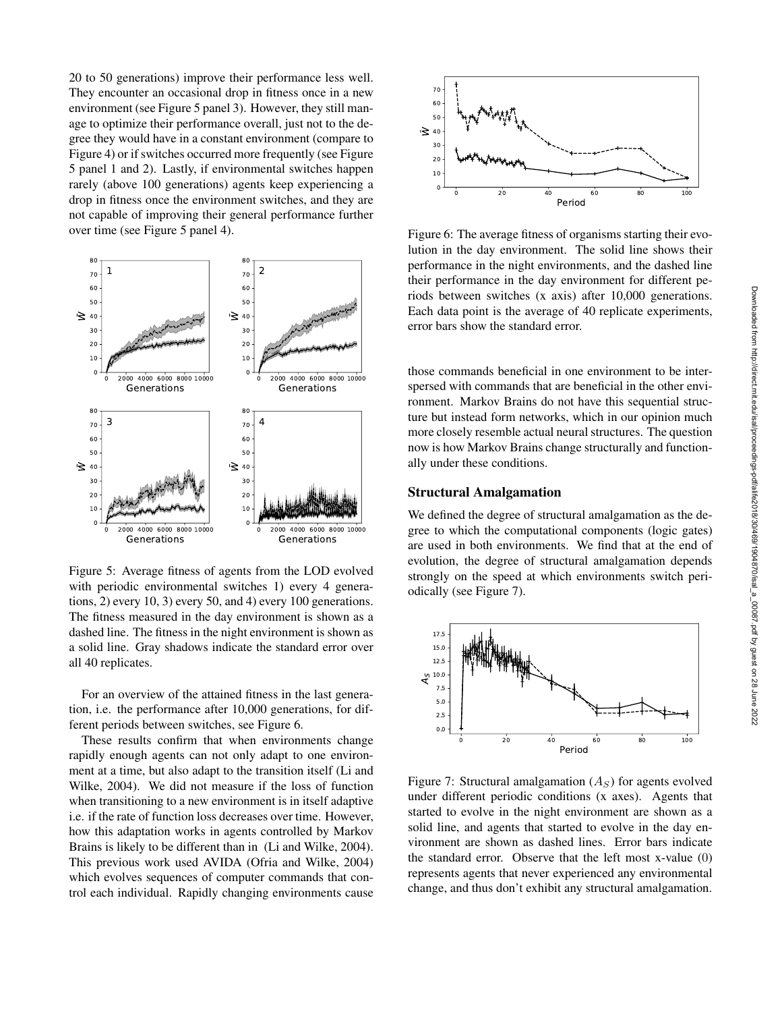20 to 50 generations) improve their performance less well. They encounter an occasional drop in fitness once in a new environment (see Figure 5 panel 3). However, they still manage to optimize their performance overall, just not to the degree they would have in a constant environment (compare to Figure 4) or if switches occurred more frequently (see Figure 5 panel 1 and 2). Lastly, if environmental switches happen rarely (above 100 generations) agents keep experiencing a drop in fitness once the environment switches, and they are not capable of improving their general performance further over time (see Figure 5 panel 4).



Figure 5: Average fitness of agents from the LOD evolved with periodic environmental switches 1) every 4 generations, 2) every 10, 3) every 50, and 4) every 100 generations. The fitness measured in the day environment is shown as a dashed line. The fitness in the night environment is shown as a solid line. Gray shadows indicate the standard error over all 40 replicates.

For an overview of the attained fitness in the last generation, i.e. the performance after 10,000 generations, for different periods between switches, see Figure 6.

These results confirm that when environments change rapidly enough agents can not only adapt to one environment at a time, but also adapt to the transition itself (Li and Wilke, 2004). We did not measure if the loss of function when transitioning to a new environment is in itself adaptive i.e. if the rate of function loss decreases over time. However, how this adaptation works in agents controlled by Markov Brains is likely to be different than in (Li and Wilke, 2004). This previous work used AVIDA (Ofria and Wilke, 2004) which evolves sequences of computer commands that control each individual. Rapidly changing environments cause



Figure 6: The average fitness of organisms starting their evolution in the day environment. The solid line shows their performance in the night environments, and the dashed line their performance in the day environment for different periods between switches (x axis) after 10,000 generations. Each data point is the average of 40 replicate experiments, error bars show the standard error.

those commands beneficial in one environment to be interspersed with commands that are beneficial in the other environment. Markov Brains do not have this sequential structure but instead form networks, which in our opinion much more closely resemble actual neural structures. The question now is how Markov Brains change structurally and functionally under these conditions.

## Structural Amalgamation

We defined the degree of structural amalgamation as the degree to which the computational components (logic gates) are used in both environments. We find that at the end of evolution, the degree of structural amalgamation depends strongly on the speed at which environments switch periodically (see Figure 7).



Figure 7: Structural amalgamation  $(A<sub>S</sub>)$  for agents evolved under different periodic conditions (x axes). Agents that started to evolve in the night environment are shown as a solid line, and agents that started to evolve in the day environment are shown as dashed lines. Error bars indicate the standard error. Observe that the left most x-value (0) represents agents that never experienced any environmental change, and thus don't exhibit any structural amalgamation.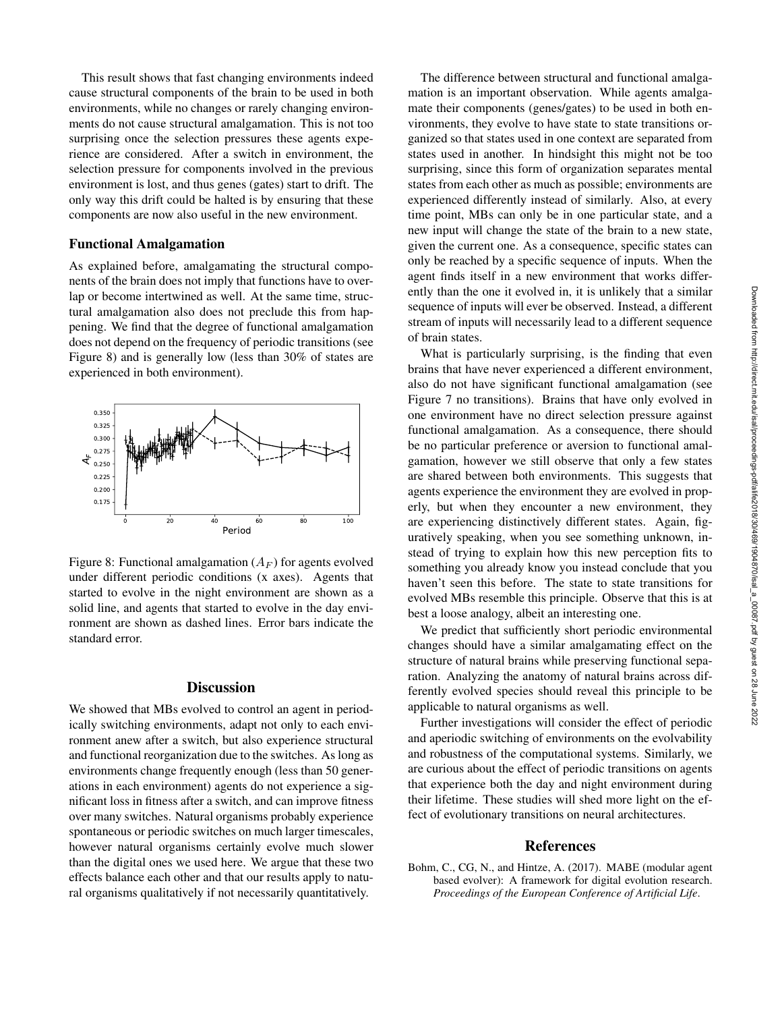This result shows that fast changing environments indeed cause structural components of the brain to be used in both environments, while no changes or rarely changing environments do not cause structural amalgamation. This is not too surprising once the selection pressures these agents experience are considered. After a switch in environment, the selection pressure for components involved in the previous environment is lost, and thus genes (gates) start to drift. The only way this drift could be halted is by ensuring that these components are now also useful in the new environment.

#### Functional Amalgamation

As explained before, amalgamating the structural components of the brain does not imply that functions have to overlap or become intertwined as well. At the same time, structural amalgamation also does not preclude this from happening. We find that the degree of functional amalgamation does not depend on the frequency of periodic transitions (see Figure 8) and is generally low (less than 30% of states are experienced in both environment).



Figure 8: Functional amalgamation  $(A_F)$  for agents evolved under different periodic conditions (x axes). Agents that started to evolve in the night environment are shown as a solid line, and agents that started to evolve in the day environment are shown as dashed lines. Error bars indicate the standard error.

## **Discussion**

We showed that MBs evolved to control an agent in periodically switching environments, adapt not only to each environment anew after a switch, but also experience structural and functional reorganization due to the switches. As long as environments change frequently enough (less than 50 generations in each environment) agents do not experience a significant loss in fitness after a switch, and can improve fitness over many switches. Natural organisms probably experience spontaneous or periodic switches on much larger timescales, however natural organisms certainly evolve much slower than the digital ones we used here. We argue that these two effects balance each other and that our results apply to natural organisms qualitatively if not necessarily quantitatively.

The difference between structural and functional amalgamation is an important observation. While agents amalgamate their components (genes/gates) to be used in both environments, they evolve to have state to state transitions organized so that states used in one context are separated from states used in another. In hindsight this might not be too surprising, since this form of organization separates mental states from each other as much as possible; environments are experienced differently instead of similarly. Also, at every time point, MBs can only be in one particular state, and a new input will change the state of the brain to a new state, given the current one. As a consequence, specific states can only be reached by a specific sequence of inputs. When the agent finds itself in a new environment that works differently than the one it evolved in, it is unlikely that a similar sequence of inputs will ever be observed. Instead, a different stream of inputs will necessarily lead to a different sequence of brain states.

What is particularly surprising, is the finding that even brains that have never experienced a different environment, also do not have significant functional amalgamation (see Figure 7 no transitions). Brains that have only evolved in one environment have no direct selection pressure against functional amalgamation. As a consequence, there should be no particular preference or aversion to functional amalgamation, however we still observe that only a few states are shared between both environments. This suggests that agents experience the environment they are evolved in properly, but when they encounter a new environment, they are experiencing distinctively different states. Again, figuratively speaking, when you see something unknown, instead of trying to explain how this new perception fits to something you already know you instead conclude that you haven't seen this before. The state to state transitions for evolved MBs resemble this principle. Observe that this is at best a loose analogy, albeit an interesting one.

We predict that sufficiently short periodic environmental changes should have a similar amalgamating effect on the structure of natural brains while preserving functional separation. Analyzing the anatomy of natural brains across differently evolved species should reveal this principle to be applicable to natural organisms as well.

Further investigations will consider the effect of periodic and aperiodic switching of environments on the evolvability and robustness of the computational systems. Similarly, we are curious about the effect of periodic transitions on agents that experience both the day and night environment during their lifetime. These studies will shed more light on the effect of evolutionary transitions on neural architectures.

#### References

Bohm, C., CG, N., and Hintze, A. (2017). MABE (modular agent based evolver): A framework for digital evolution research. *Proceedings of the European Conference of Artificial Life*.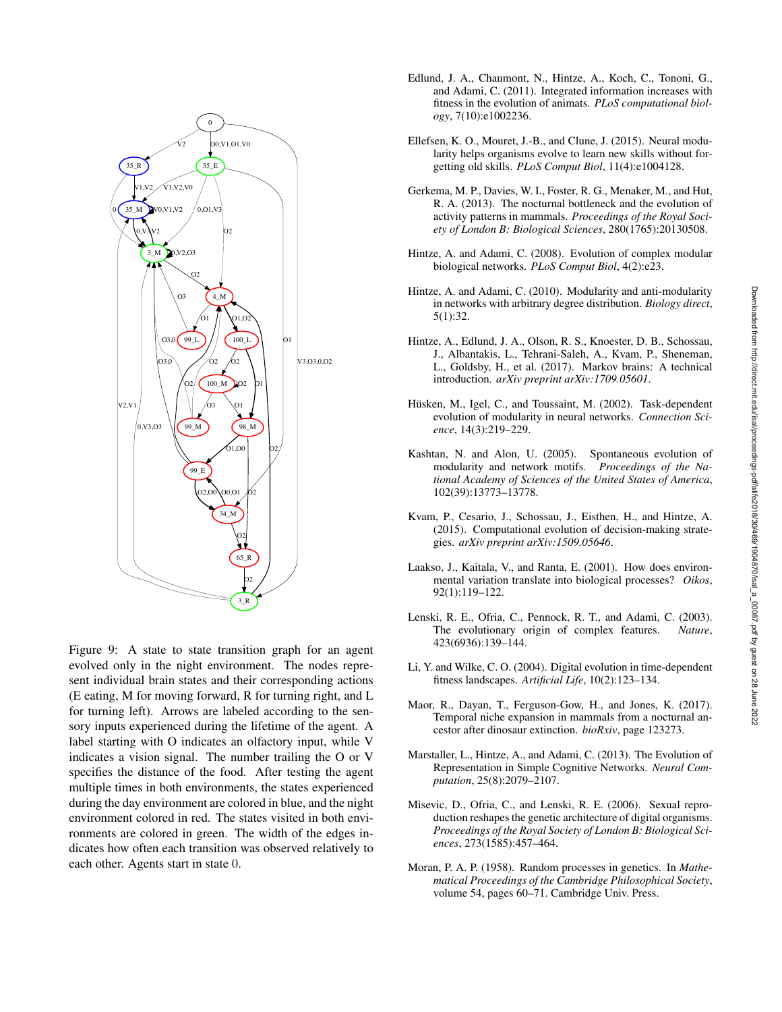

Figure 9: A state to state transition graph for an agent evolved only in the night environment. The nodes represent individual brain states and their corresponding actions (E eating, M for moving forward, R for turning right, and L for turning left). Arrows are labeled according to the sensory inputs experienced during the lifetime of the agent. A label starting with O indicates an olfactory input, while V indicates a vision signal. The number trailing the O or V specifies the distance of the food. After testing the agent multiple times in both environments, the states experienced during the day environment are colored in blue, and the night environment colored in red. The states visited in both environments are colored in green. The width of the edges indicates how often each transition was observed relatively to each other. Agents start in state 0.

- Edlund, J. A., Chaumont, N., Hintze, A., Koch, C., Tononi, G., and Adami, C. (2011). Integrated information increases with fitness in the evolution of animats. *PLoS computational biology*, 7(10):e1002236.
- Ellefsen, K. O., Mouret, J.-B., and Clune, J. (2015). Neural modularity helps organisms evolve to learn new skills without forgetting old skills. *PLoS Comput Biol*, 11(4):e1004128.
- Gerkema, M. P., Davies, W. I., Foster, R. G., Menaker, M., and Hut, R. A. (2013). The nocturnal bottleneck and the evolution of activity patterns in mammals. *Proceedings of the Royal Society of London B: Biological Sciences*, 280(1765):20130508.
- Hintze, A. and Adami, C. (2008). Evolution of complex modular biological networks. *PLoS Comput Biol*, 4(2):e23.
- Hintze, A. and Adami, C. (2010). Modularity and anti-modularity in networks with arbitrary degree distribution. *Biology direct*, 5(1):32.
- Hintze, A., Edlund, J. A., Olson, R. S., Knoester, D. B., Schossau, J., Albantakis, L., Tehrani-Saleh, A., Kvam, P., Sheneman, L., Goldsby, H., et al. (2017). Markov brains: A technical introduction. *arXiv preprint arXiv:1709.05601*.
- Hüsken, M., Igel, C., and Toussaint, M. (2002). Task-dependent evolution of modularity in neural networks. *Connection Science*, 14(3):219–229.
- Kashtan, N. and Alon, U. (2005). Spontaneous evolution of modularity and network motifs. *Proceedings of the National Academy of Sciences of the United States of America*, 102(39):13773–13778.
- Kvam, P., Cesario, J., Schossau, J., Eisthen, H., and Hintze, A. (2015). Computational evolution of decision-making strategies. *arXiv preprint arXiv:1509.05646*.
- Laakso, J., Kaitala, V., and Ranta, E. (2001). How does environmental variation translate into biological processes? *Oikos*, 92(1):119–122.
- Lenski, R. E., Ofria, C., Pennock, R. T., and Adami, C. (2003). The evolutionary origin of complex features. *Nature*, 423(6936):139–144.
- Li, Y. and Wilke, C. O. (2004). Digital evolution in time-dependent fitness landscapes. *Artificial Life*, 10(2):123–134.
- Maor, R., Dayan, T., Ferguson-Gow, H., and Jones, K. (2017). Temporal niche expansion in mammals from a nocturnal ancestor after dinosaur extinction. *bioRxiv*, page 123273.
- Marstaller, L., Hintze, A., and Adami, C. (2013). The Evolution of Representation in Simple Cognitive Networks. *Neural Computation*, 25(8):2079–2107.
- Misevic, D., Ofria, C., and Lenski, R. E. (2006). Sexual reproduction reshapes the genetic architecture of digital organisms. *Proceedings of the Royal Society of London B: Biological Sciences*, 273(1585):457–464.
- Moran, P. A. P. (1958). Random processes in genetics. In *Mathematical Proceedings of the Cambridge Philosophical Society*, volume 54, pages 60–71. Cambridge Univ. Press.